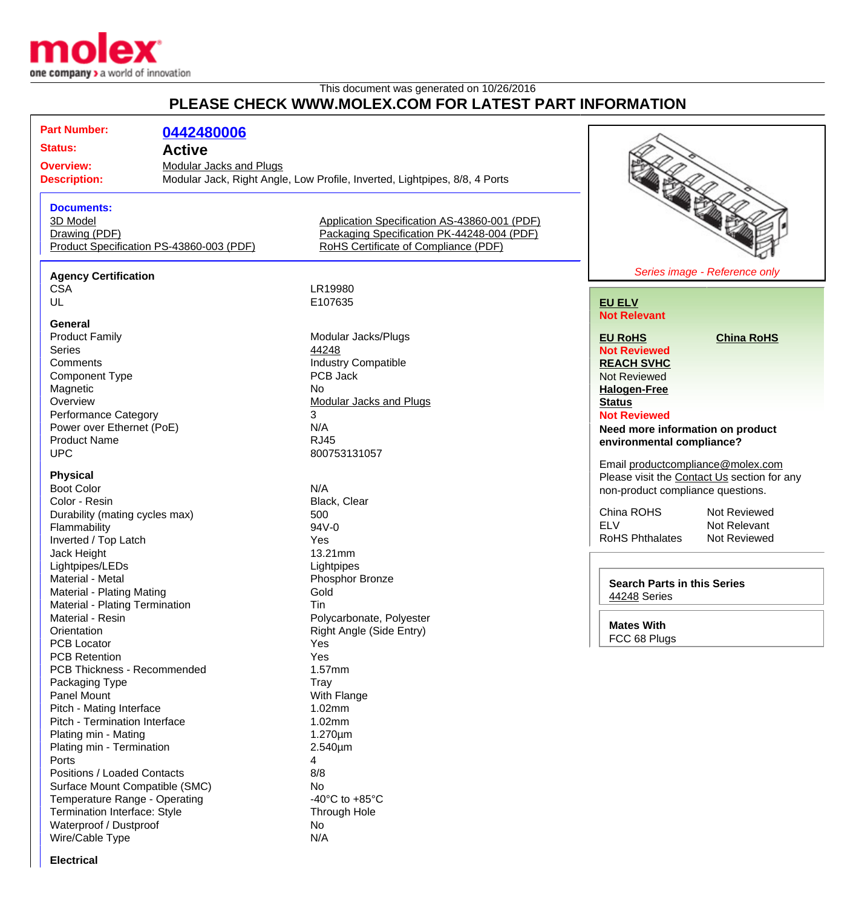

## This document was generated on 10/26/2016 **PLEASE CHECK WWW.MOLEX.COM FOR LATEST PART INFORMATION**

| <u>LLAJL VIILVIN INIVINIULLA.VUINT VIN LATLUTTAINT IINI VININTIIVIN</u>                                                                                               |                                                                                                                                    |                                                                                                                                                                                        |  |  |
|-----------------------------------------------------------------------------------------------------------------------------------------------------------------------|------------------------------------------------------------------------------------------------------------------------------------|----------------------------------------------------------------------------------------------------------------------------------------------------------------------------------------|--|--|
| <b>Part Number:</b><br>0442480006<br><b>Status:</b><br><b>Active</b><br><b>Overview:</b><br><b>Modular Jacks and Plugs</b><br><b>Description:</b>                     | Modular Jack, Right Angle, Low Profile, Inverted, Lightpipes, 8/8, 4 Ports                                                         |                                                                                                                                                                                        |  |  |
| <b>Documents:</b><br>3D Model<br>Drawing (PDF)<br>Product Specification PS-43860-003 (PDF)                                                                            | Application Specification AS-43860-001 (PDF)<br>Packaging Specification PK-44248-004 (PDF)<br>RoHS Certificate of Compliance (PDF) |                                                                                                                                                                                        |  |  |
|                                                                                                                                                                       |                                                                                                                                    | Series image - Reference only                                                                                                                                                          |  |  |
| <b>Agency Certification</b><br><b>CSA</b><br>UL                                                                                                                       | LR19980<br>E107635                                                                                                                 | <b>EU ELV</b><br><b>Not Relevant</b>                                                                                                                                                   |  |  |
| General<br><b>Product Family</b><br><b>Series</b><br>Comments<br><b>Component Type</b><br>Magnetic<br>Overview                                                        | Modular Jacks/Plugs<br>44248<br><b>Industry Compatible</b><br>PCB Jack<br><b>No</b><br><b>Modular Jacks and Plugs</b>              | <b>EU RoHS</b><br><b>China RoHS</b><br><b>Not Reviewed</b><br><b>REACH SVHC</b><br><b>Not Reviewed</b><br><b>Halogen-Free</b><br><b>Status</b>                                         |  |  |
| <b>Performance Category</b><br>Power over Ethernet (PoE)<br><b>Product Name</b><br><b>UPC</b>                                                                         | 3<br>N/A<br><b>RJ45</b><br>800753131057                                                                                            | <b>Not Reviewed</b><br>Need more information on product<br>environmental compliance?<br>Email productcompliance@molex.com                                                              |  |  |
| <b>Physical</b><br><b>Boot Color</b><br>Color - Resin<br>Durability (mating cycles max)<br>Flammability<br>Inverted / Top Latch<br>Jack Height                        | N/A<br>Black, Clear<br>500<br>94V-0<br>Yes<br>13.21mm                                                                              | Please visit the Contact Us section for any<br>non-product compliance questions.<br>China ROHS<br>Not Reviewed<br><b>ELV</b><br>Not Relevant<br><b>RoHS Phthalates</b><br>Not Reviewed |  |  |
| Lightpipes/LEDs<br>Material - Metal<br>Material - Plating Mating<br>Material - Plating Termination<br>Material - Resin                                                | Lightpipes<br>Phosphor Bronze<br>Gold<br>Tin                                                                                       | <b>Search Parts in this Series</b><br>44248 Series                                                                                                                                     |  |  |
| Orientation<br><b>PCB Locator</b><br><b>PCB Retention</b><br><b>PCB Thickness - Recommended</b><br>Packaging Type                                                     | Polycarbonate, Polyester<br>Right Angle (Side Entry)<br>Yes<br>Yes<br>1.57mm<br>Tray                                               | <b>Mates With</b><br>FCC 68 Plugs                                                                                                                                                      |  |  |
| Panel Mount<br>Pitch - Mating Interface<br>Pitch - Termination Interface<br>Plating min - Mating<br>Plating min - Termination<br>Ports<br>Positions / Loaded Contacts | With Flange<br>1.02mm<br>1.02mm<br>1.270um<br>2.540µm<br>4<br>8/8                                                                  |                                                                                                                                                                                        |  |  |
| Surface Mount Compatible (SMC)<br>Temperature Range - Operating<br>Termination Interface: Style                                                                       | No<br>-40 $^{\circ}$ C to +85 $^{\circ}$ C<br>Through Hole                                                                         |                                                                                                                                                                                        |  |  |

Waterproof / Dustproof No Wire/Cable Type N/A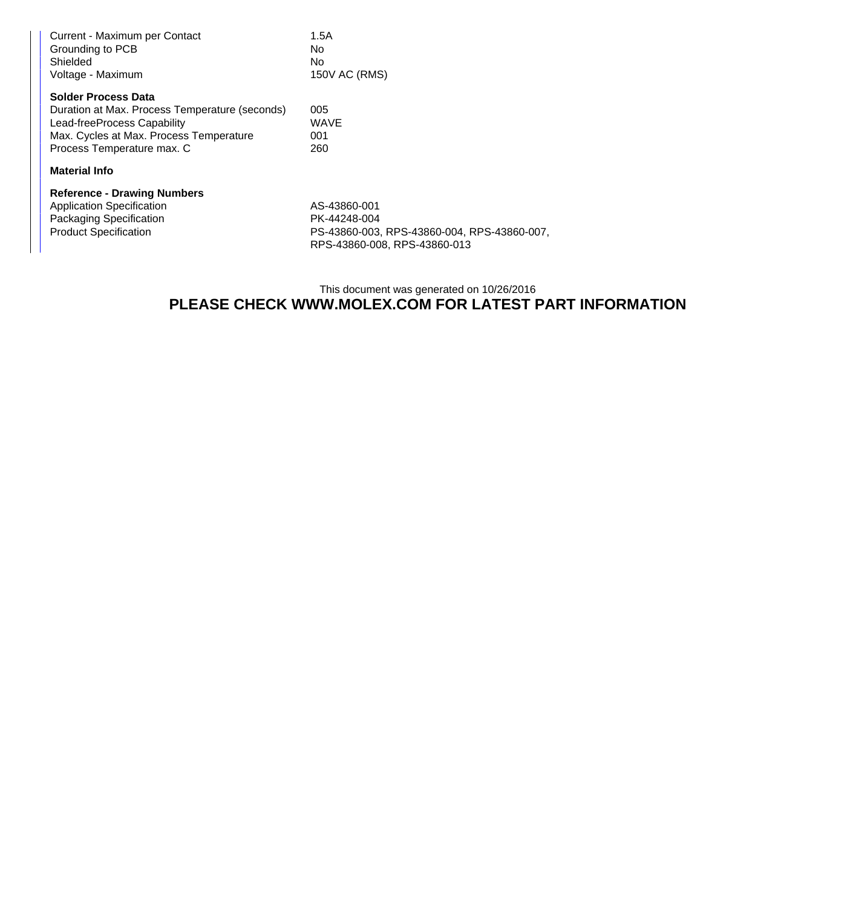| Current - Maximum per Contact<br>Grounding to PCB<br>Shielded<br>Voltage - Maximum                          | 1.5A<br>No<br>No<br>150V AC (RMS)           |
|-------------------------------------------------------------------------------------------------------------|---------------------------------------------|
| <b>Solder Process Data</b><br>Duration at Max. Process Temperature (seconds)<br>Lead-freeProcess Capability | 005<br><b>WAVE</b>                          |
| Max. Cycles at Max. Process Temperature<br>Process Temperature max. C                                       | 001<br>260                                  |
| <b>Material Info</b>                                                                                        |                                             |
| <b>Reference - Drawing Numbers</b>                                                                          |                                             |
| <b>Application Specification</b>                                                                            | AS-43860-001                                |
| Packaging Specification                                                                                     | PK-44248-004                                |
| <b>Product Specification</b>                                                                                | PS-43860-003, RPS-43860-004, RPS-43860-007, |

This document was generated on 10/26/2016 **PLEASE CHECK WWW.MOLEX.COM FOR LATEST PART INFORMATION**

RPS-43860-008, RPS-43860-013